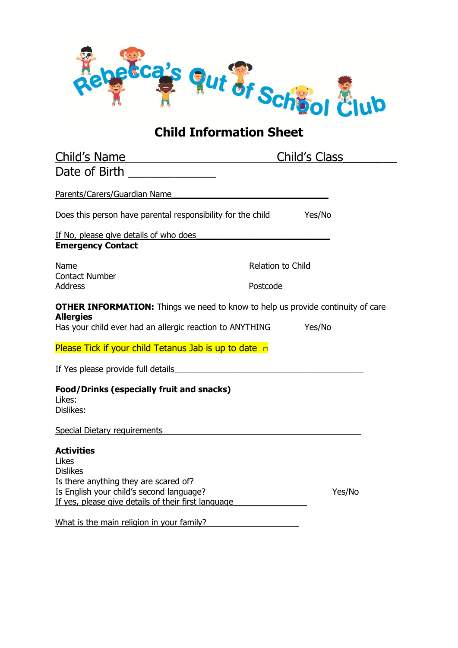

## **Child Information Sheet**

| Child's Name                                                                                                                                                                              | <b>Child's Class</b> |        |
|-------------------------------------------------------------------------------------------------------------------------------------------------------------------------------------------|----------------------|--------|
| Date of Birth <u>_____________</u>                                                                                                                                                        |                      |        |
| Parents/Carers/Guardian Name                                                                                                                                                              |                      |        |
| Does this person have parental responsibility for the child                                                                                                                               | Yes/No               |        |
| If No, please give details of who does<br><b>Emergency Contact</b>                                                                                                                        |                      |        |
| Name<br><b>Contact Number</b><br><b>Address</b>                                                                                                                                           | Relation to Child    |        |
|                                                                                                                                                                                           | Postcode             |        |
| <b>OTHER INFORMATION:</b> Things we need to know to help us provide continuity of care<br><b>Allergies</b><br>Has your child ever had an allergic reaction to ANYTHING                    | Yes/No               |        |
| Please Tick if your child Tetanus Jab is up to date $\Box$                                                                                                                                |                      |        |
| If Yes please provide full details                                                                                                                                                        |                      |        |
| <b>Food/Drinks (especially fruit and snacks)</b><br>Likes:<br>Dislikes:                                                                                                                   |                      |        |
| <b>Special Dietary requirements</b>                                                                                                                                                       |                      |        |
| <b>Activities</b><br>Likes<br><b>Dislikes</b><br>Is there anything they are scared of?<br>Is English your child's second language?<br>If yes, please give details of their first language |                      | Yes/No |
| What is the main religion in your family?                                                                                                                                                 |                      |        |